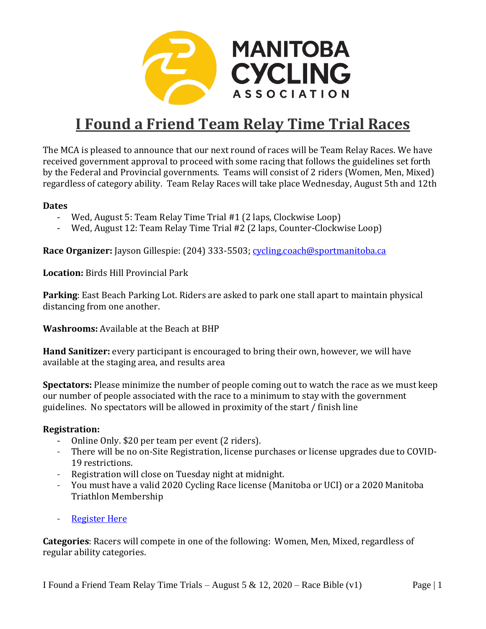

# **I Found a Friend Team Relay Time Trial Races**

The MCA is pleased to announce that our next round of races will be Team Relay Races. We have received government approval to proceed with some racing that follows the guidelines set forth by the Federal and Provincial governments. Teams will consist of 2 riders (Women, Men, Mixed) regardless of category ability. Team Relay Races will take place Wednesday, August 5th and 12th

#### **Dates**

- Wed, August 5: Team Relay Time Trial #1 (2 laps, Clockwise Loop)
- Wed, August 12: Team Relay Time Trial #2 (2 laps, Counter-Clockwise Loop)

**Race Organizer:** Jayson Gillespie: (204) 333-5503; [cycling.coach@sportmanitoba.ca](file:///D:/Dropbox/Provincial%20Program%20(Office)/Projects/2018-2019/Races%20Hosted/Road%20Provincials/ITT%20Prov%20Championships%20(Aug%2024)

**Location:** Birds Hill Provincial Park

**Parking**: East Beach Parking Lot. Riders are asked to park one stall apart to maintain physical distancing from one another.

**Washrooms:** Available at the Beach at BHP

**Hand Sanitizer:** every participant is encouraged to bring their own, however, we will have available at the staging area, and results area

**Spectators:** Please minimize the number of people coming out to watch the race as we must keep our number of people associated with the race to a minimum to stay with the government guidelines. No spectators will be allowed in proximity of the start / finish line

#### **Registration:**

- Online Only. \$20 per team per event (2 riders).
- There will be no on-Site Registration, license purchases or license upgrades due to COVID-19 restrictions.
- Registration will close on Tuesday night at midnight.
- You must have a valid 2020 Cycling Race license (Manitoba or UCI) or a 2020 Manitoba Triathlon Membership
- [Register Here](https://ccnbikes.com/#!/events/found-a-friend-team-relay-time-trial-5-august-20)

**Categories**: Racers will compete in one of the following: Women, Men, Mixed, regardless of regular ability categories.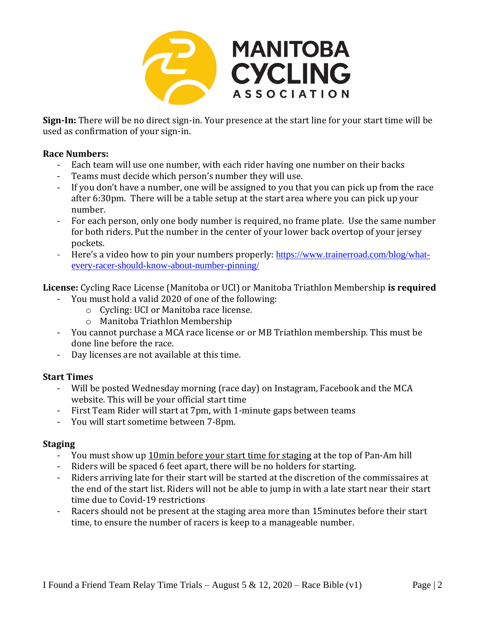

**Sign-In:** There will be no direct sign-in. Your presence at the start line for your start time will be used as confirmation of your sign-in.

#### **Race Numbers:**

- Each team will use one number, with each rider having one number on their backs
- Teams must decide which person's number they will use.
- If you don't have a number, one will be assigned to you that you can pick up from the race after 6:30pm. There will be a table setup at the start area where you can pick up your number.
- For each person, only one body number is required, no frame plate. Use the same number for both riders. Put the number in the center of your lower back overtop of your jersey pockets.
- Here's a video how to pin your numbers properly: [https://www.trainerroad.com/blog/what](https://www.trainerroad.com/blog/what-every-racer-should-know-about-number-pinning/)[every-racer-should-know-about-number-pinning/](https://www.trainerroad.com/blog/what-every-racer-should-know-about-number-pinning/)

**License:** Cycling Race License (Manitoba or UCI) or Manitoba Triathlon Membership **is required** - You must hold a valid 2020 of one of the following:

- o Cycling: UCI or Manitoba race license.
- o Manitoba Triathlon Membership
- You cannot purchase a MCA race license or or MB Triathlon membership. This must be done line before the race.
- Day licenses are not available at this time.

#### **Start Times**

- Will be posted Wednesday morning (race day) on Instagram, Facebook and the MCA website. This will be your official start time
- First Team Rider will start at 7pm, with 1-minute gaps between teams
- You will start sometime between 7-8pm.

#### **Staging**

- You must show up 10min before your start time for staging at the top of Pan-Am hill
- Riders will be spaced 6 feet apart, there will be no holders for starting.
- Riders arriving late for their start will be started at the discretion of the commissaires at the end of the start list. Riders will not be able to jump in with a late start near their start time due to Covid-19 restrictions
- Racers should not be present at the staging area more than 15minutes before their start time, to ensure the number of racers is keep to a manageable number.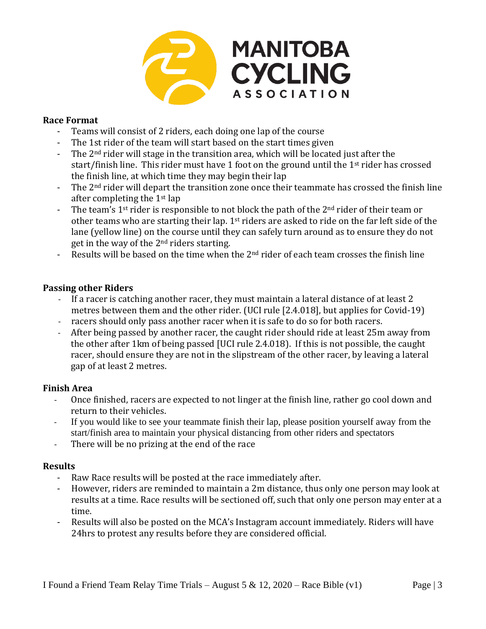

#### **Race Format**

- Teams will consist of 2 riders, each doing one lap of the course
- The 1st rider of the team will start based on the start times given
- The 2<sup>nd</sup> rider will stage in the transition area, which will be located just after the start/finish line. This rider must have 1 foot on the ground until the  $1<sup>st</sup>$  rider has crossed the finish line, at which time they may begin their lap
- The 2<sup>nd</sup> rider will depart the transition zone once their teammate has crossed the finish line after completing the 1st lap
- The team's  $1^{st}$  rider is responsible to not block the path of the  $2^{nd}$  rider of their team or other teams who are starting their lap.  $1<sup>st</sup>$  riders are asked to ride on the far left side of the lane (yellow line) on the course until they can safely turn around as to ensure they do not get in the way of the  $2<sup>nd</sup>$  riders starting.
- Results will be based on the time when the 2<sup>nd</sup> rider of each team crosses the finish line

#### **Passing other Riders**

- If a racer is catching another racer, they must maintain a lateral distance of at least 2 metres between them and the other rider. (UCI rule [2.4.018], but applies for Covid-19)
- racers should only pass another racer when it is safe to do so for both racers.
- After being passed by another racer, the caught rider should ride at least 25m away from the other after 1km of being passed [UCI rule 2.4.018). If this is not possible, the caught racer, should ensure they are not in the slipstream of the other racer, by leaving a lateral gap of at least 2 metres.

#### **Finish Area**

- Once finished, racers are expected to not linger at the finish line, rather go cool down and return to their vehicles.
- If you would like to see your teammate finish their lap, please position yourself away from the start/finish area to maintain your physical distancing from other riders and spectators
- There will be no prizing at the end of the race

#### **Results**

- Raw Race results will be posted at the race immediately after.
- However, riders are reminded to maintain a 2m distance, thus only one person may look at results at a time. Race results will be sectioned off, such that only one person may enter at a time.
- Results will also be posted on the MCA's Instagram account immediately. Riders will have 24hrs to protest any results before they are considered official.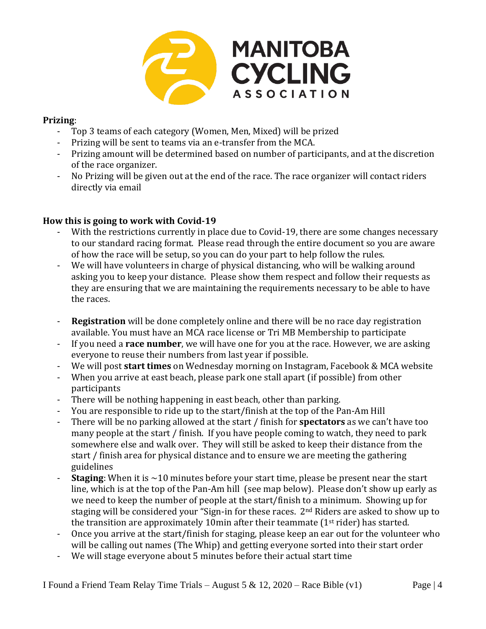

#### **Prizing**:

- Top 3 teams of each category (Women, Men, Mixed) will be prized
- Prizing will be sent to teams via an e-transfer from the MCA.
- Prizing amount will be determined based on number of participants, and at the discretion of the race organizer.
- No Prizing will be given out at the end of the race. The race organizer will contact riders directly via email

#### **How this is going to work with Covid-19**

- With the restrictions currently in place due to Covid-19, there are some changes necessary to our standard racing format. Please read through the entire document so you are aware of how the race will be setup, so you can do your part to help follow the rules.
- We will have volunteers in charge of physical distancing, who will be walking around asking you to keep your distance. Please show them respect and follow their requests as they are ensuring that we are maintaining the requirements necessary to be able to have the races.
- **Registration** will be done completely online and there will be no race day registration available. You must have an MCA race license or Tri MB Membership to participate
- If you need a **race number**, we will have one for you at the race. However, we are asking everyone to reuse their numbers from last year if possible.
- We will post **start times** on Wednesday morning on Instagram, Facebook & MCA website
- When you arrive at east beach, please park one stall apart (if possible) from other participants
- There will be nothing happening in east beach, other than parking.
- You are responsible to ride up to the start/finish at the top of the Pan-Am Hill
- There will be no parking allowed at the start / finish for **spectators** as we can't have too many people at the start / finish. If you have people coming to watch, they need to park somewhere else and walk over. They will still be asked to keep their distance from the start / finish area for physical distance and to ensure we are meeting the gathering guidelines
- **Staging**: When it is  $\sim$  10 minutes before your start time, please be present near the start line, which is at the top of the Pan-Am hill (see map below). Please don't show up early as we need to keep the number of people at the start/finish to a minimum. Showing up for staging will be considered your "Sign-in for these races. 2<sup>nd</sup> Riders are asked to show up to the transition are approximately 10min after their teammate  $(1<sup>st</sup>$  rider) has started.
- Once you arrive at the start/finish for staging, please keep an ear out for the volunteer who will be calling out names (The Whip) and getting everyone sorted into their start order
- We will stage everyone about 5 minutes before their actual start time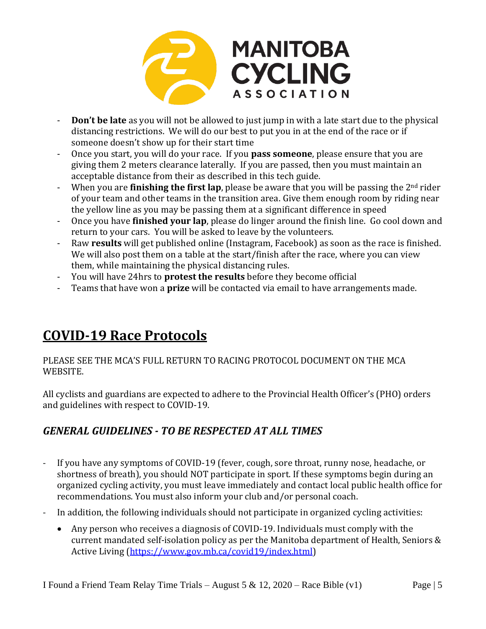

- **Don't be late** as you will not be allowed to just jump in with a late start due to the physical distancing restrictions. We will do our best to put you in at the end of the race or if someone doesn't show up for their start time
- Once you start, you will do your race. If you **pass someone**, please ensure that you are giving them 2 meters clearance laterally. If you are passed, then you must maintain an acceptable distance from their as described in this tech guide.
- When you are **finishing the first lap**, please be aware that you will be passing the 2<sup>nd</sup> rider of your team and other teams in the transition area. Give them enough room by riding near the yellow line as you may be passing them at a significant difference in speed
- Once you have **finished your lap**, please do linger around the finish line. Go cool down and return to your cars. You will be asked to leave by the volunteers.
- Raw **results** will get published online (Instagram, Facebook) as soon as the race is finished. We will also post them on a table at the start/finish after the race, where you can view them, while maintaining the physical distancing rules.
- You will have 24hrs to **protest the results** before they become official
- Teams that have won a **prize** will be contacted via email to have arrangements made.

## **COVID-19 Race Protocols**

PLEASE SEE THE MCA'S FULL RETURN TO RACING PROTOCOL DOCUMENT ON THE MCA WEBSITE.

All cyclists and guardians are expected to adhere to the Provincial Health Officer's (PHO) orders and guidelines with respect to COVID-19.

### *GENERAL GUIDELINES - TO BE RESPECTED AT ALL TIMES*

- If you have any symptoms of COVID-19 (fever, cough, sore throat, runny nose, headache, or shortness of breath), you should NOT participate in sport. If these symptoms begin during an organized cycling activity, you must leave immediately and contact local public health office for recommendations. You must also inform your club and/or personal coach.
- In addition, the following individuals should not participate in organized cycling activities:
	- Any person who receives a diagnosis of COVID-19. Individuals must comply with the current mandated self-isolation policy as per the Manitoba department of Health, Seniors & Active Living [\(https://www.gov.mb.ca/covid19/index.html\)](about:blank)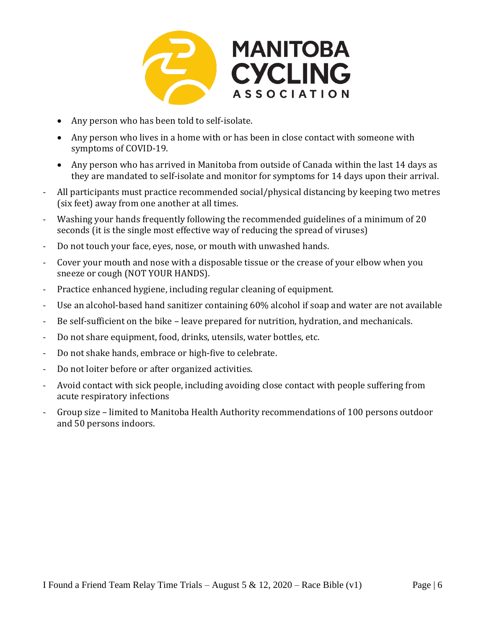

- Any person who has been told to self-isolate.
- Any person who lives in a home with or has been in close contact with someone with symptoms of COVID-19.
- Any person who has arrived in Manitoba from outside of Canada within the last 14 days as they are mandated to self-isolate and monitor for symptoms for 14 days upon their arrival.
- All participants must practice recommended social/physical distancing by keeping two metres (six feet) away from one another at all times.
- Washing your hands frequently following the recommended guidelines of a minimum of 20 seconds (it is the single most effective way of reducing the spread of viruses)
- Do not touch your face, eyes, nose, or mouth with unwashed hands.
- Cover your mouth and nose with a disposable tissue or the crease of your elbow when you sneeze or cough (NOT YOUR HANDS).
- Practice enhanced hygiene, including regular cleaning of equipment.
- Use an alcohol-based hand sanitizer containing 60% alcohol if soap and water are not available
- Be self-sufficient on the bike leave prepared for nutrition, hydration, and mechanicals.
- Do not share equipment, food, drinks, utensils, water bottles, etc.
- Do not shake hands, embrace or high-five to celebrate.
- Do not loiter before or after organized activities.
- Avoid contact with sick people, including avoiding close contact with people suffering from acute respiratory infections
- Group size limited to Manitoba Health Authority recommendations of 100 persons outdoor and 50 persons indoors.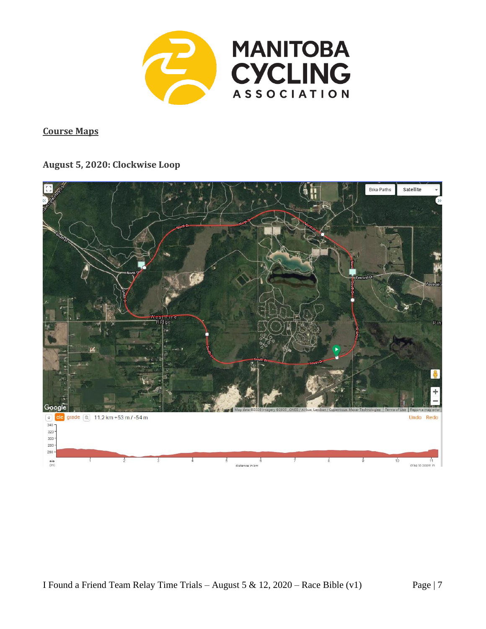

**Course Maps**

#### **August 5, 2020: Clockwise Loop**